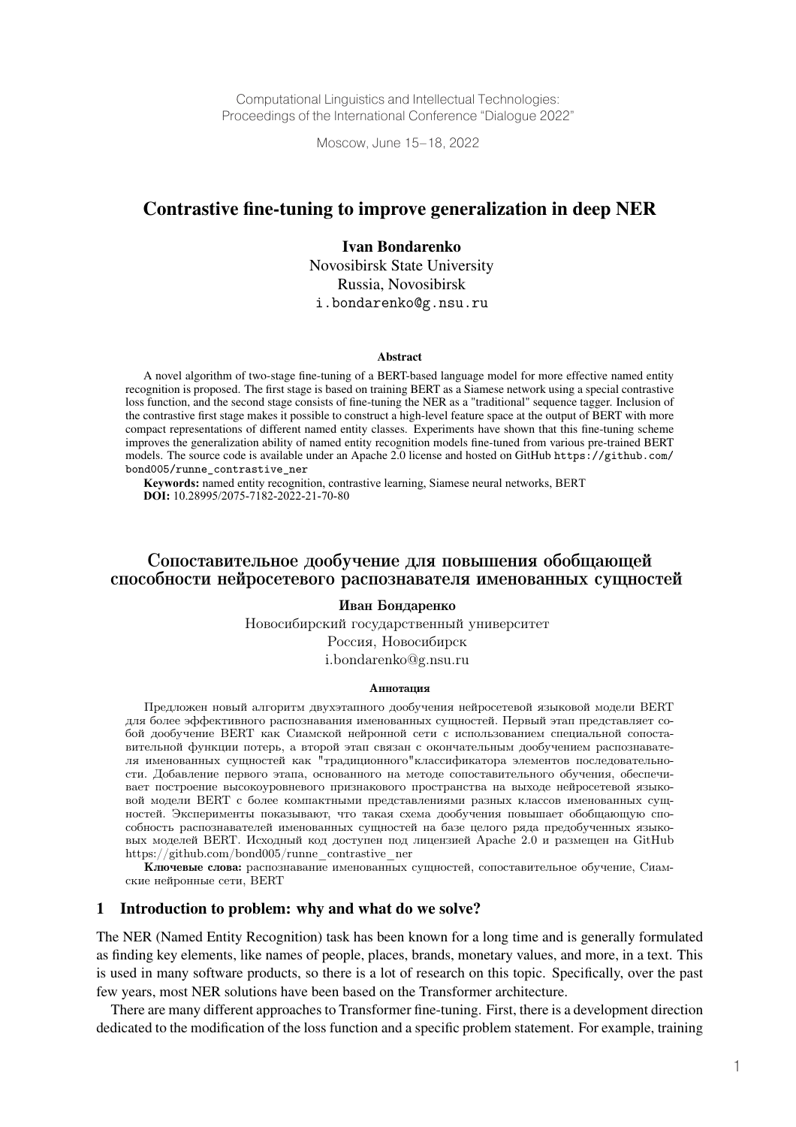Computational Linguistics and Intellectual Technologies: Proceedings of the International Conference "Dialogue 2022"

Moscow, June 15–18, 2022

## Contrastive fine-tuning to improve generalization in deep NER

### Ivan Bondarenko

Novosibirsk State University Russia, Novosibirsk i.bondarenko@g.nsu.ru

#### Abstract

A novel algorithm of two-stage fine-tuning of a BERT-based language model for more effective named entity recognition is proposed. The first stage is based on training BERT as a Siamese network using a special contrastive loss function, and the second stage consists of fine-tuning the NER as a "traditional" sequence tagger. Inclusion of the contrastive first stage makes it possible to construct a high-level feature space at the output of BERT with more compact representations of different named entity classes. Experiments have shown that this fine-tuning scheme improves the generalization ability of named entity recognition models fine-tuned from various pre-trained BERT models. The source code is available under an Apache 2.0 license and hosted on GitHub https://github.com/ bond005/runne\_contrastive\_ner

**Keywords:** named entity recognition, contrastive learning, Siamese neural networks, BERT **DOI:** 10.28995/2075-7182-2022-21-70-80

# Сопоставительное дообучение для повышения обобщающей способности нейросетевого распознавателя именованных сущностей

#### Иван Бондаренко

Новосибирский государственный университет Россия, Новосибирск i.bondarenko@g.nsu.ru

#### Аннотация

Предложен новый алгоритм двухэтапного дообучения нейросетевой языковой модели BERT для более эффективного распознавания именованных сущностей. Первый этап представляет собой дообучение BERT как Сиамской нейронной сети с использованием специальной сопоставительной функции потерь, а второй этап связан с окончательным дообучением распознавателя именованных сущностей как "традиционного"классификатора элементов последовательности. Добавление первого этапа, основанного на методе сопоставительного обучения, обеспечивает построение высокоуровневого признакового пространства на выходе нейросетевой языковой модели BERT с более компактными представлениями разных классов именованных сущностей. Эксперименты показывают, что такая схема дообучения повышает обобщающую способность распознавателей именованных сущностей на базе целого ряда предобученных языковых моделей BERT. Исходный код доступен под лицензией Apache 2.0 и размещен на GitHub https://github.com/bond005/runne\_contrastive\_ner

Ключевые слова: распознавание именованных сущностей, сопоставительное обучение, Сиамские нейронные сети, BERT

#### 1 Introduction to problem: why and what do we solve?

The NER (Named Entity Recognition) task has been known for a long time and is generally formulated as finding key elements, like names of people, places, brands, monetary values, and more, in a text. This is used in many software products, so there is a lot of research on this topic. Specifically, over the past few years, most NER solutions have been based on the Transformer architecture.

There are many different approaches to Transformer fine-tuning. First, there is a development direction dedicated to the modification of the loss function and a specific problem statement. For example, training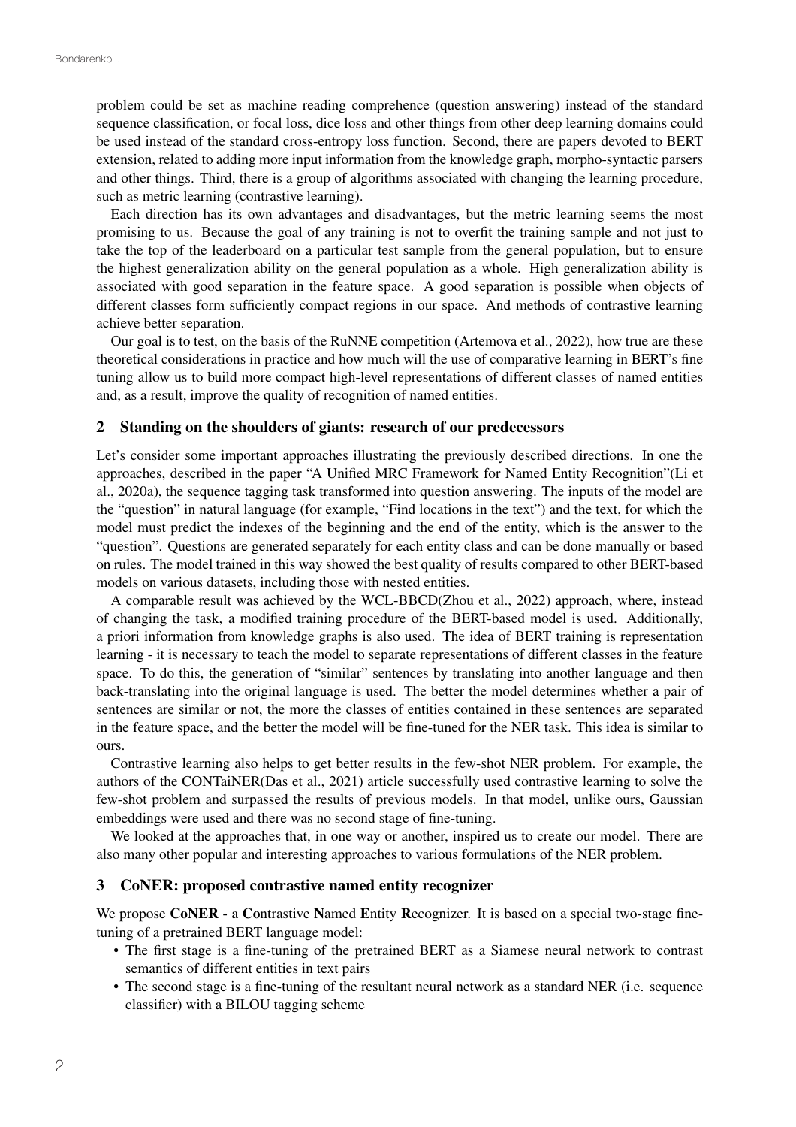problem could be set as machine reading comprehence (question answering) instead of the standard sequence classification, or focal loss, dice loss and other things from other deep learning domains could be used instead of the standard cross-entropy loss function. Second, there are papers devoted to BERT extension, related to adding more input information from the knowledge graph, morpho-syntactic parsers and other things. Third, there is a group of algorithms associated with changing the learning procedure, such as metric learning (contrastive learning).

Each direction has its own advantages and disadvantages, but the metric learning seems the most promising to us. Because the goal of any training is not to overfit the training sample and not just to take the top of the leaderboard on a particular test sample from the general population, but to ensure the highest generalization ability on the general population as a whole. High generalization ability is associated with good separation in the feature space. A good separation is possible when objects of different classes form sufficiently compact regions in our space. And methods of contrastive learning achieve better separation.

Our goal is to test, on the basis of the RuNNE competition (Artemova et al., 2022), how true are these theoretical considerations in practice and how much will the use of comparative learning in BERT's fine tuning allow us to build more compact high-level representations of different classes of named entities and, as a result, improve the quality of recognition of named entities.

## 2 Standing on the shoulders of giants: research of our predecessors

Let's consider some important approaches illustrating the previously described directions. In one the approaches, described in the paper "A Unified MRC Framework for Named Entity Recognition"(Li et al., 2020a), the sequence tagging task transformed into question answering. The inputs of the model are the "question" in natural language (for example, "Find locations in the text") and the text, for which the model must predict the indexes of the beginning and the end of the entity, which is the answer to the "question". Questions are generated separately for each entity class and can be done manually or based on rules. The model trained in this way showed the best quality of results compared to other BERT-based models on various datasets, including those with nested entities.

A comparable result was achieved by the WCL-BBCD(Zhou et al., 2022) approach, where, instead of changing the task, a modified training procedure of the BERT-based model is used. Additionally, a priori information from knowledge graphs is also used. The idea of BERT training is representation learning - it is necessary to teach the model to separate representations of different classes in the feature space. To do this, the generation of "similar" sentences by translating into another language and then back-translating into the original language is used. The better the model determines whether a pair of sentences are similar or not, the more the classes of entities contained in these sentences are separated in the feature space, and the better the model will be fine-tuned for the NER task. This idea is similar to ours.

Contrastive learning also helps to get better results in the few-shot NER problem. For example, the authors of the CONTaiNER(Das et al., 2021) article successfully used contrastive learning to solve the few-shot problem and surpassed the results of previous models. In that model, unlike ours, Gaussian embeddings were used and there was no second stage of fine-tuning.

We looked at the approaches that, in one way or another, inspired us to create our model. There are also many other popular and interesting approaches to various formulations of the NER problem.

### 3 CoNER: proposed contrastive named entity recognizer

We propose CoNER - a Contrastive Named Entity Recognizer. It is based on a special two-stage finetuning of a pretrained BERT language model:

- The first stage is a fine-tuning of the pretrained BERT as a Siamese neural network to contrast semantics of different entities in text pairs
- The second stage is a fine-tuning of the resultant neural network as a standard NER (i.e. sequence classifier) with a BILOU tagging scheme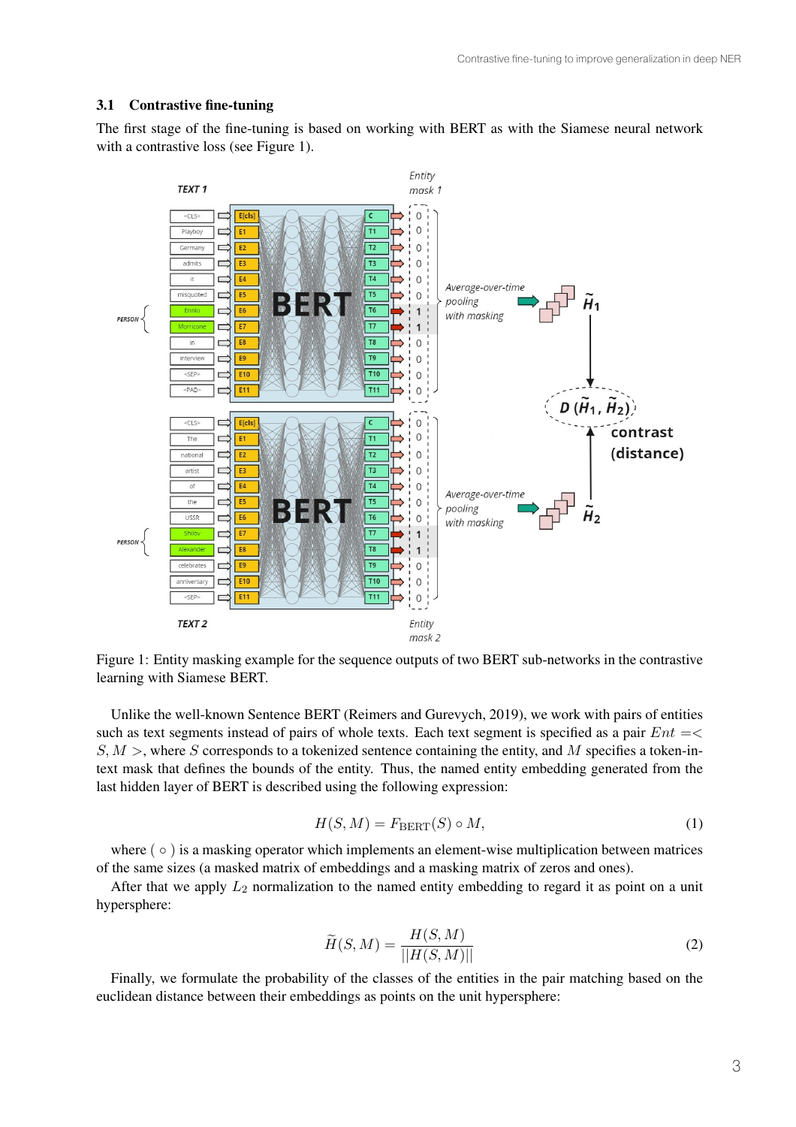#### 3.1 Contrastive fine-tuning

The first stage of the fine-tuning is based on working with BERT as with the Siamese neural network with a contrastive loss (see Figure 1).



Figure 1: Entity masking example for the sequence outputs of two BERT sub-networks in the contrastive learning with Siamese BERT.

Unlike the well-known Sentence BERT (Reimers and Gurevych, 2019), we work with pairs of entities such as text segments instead of pairs of whole texts. Each text segment is specified as a pair  $Ent = \langle$  $S, M >$ , where S corresponds to a tokenized sentence containing the entity, and M specifies a token-intext mask that defines the bounds of the entity. Thus, the named entity embedding generated from the last hidden layer of BERT is described using the following expression:

$$
H(S, M) = F_{\text{BERT}}(S) \circ M,\tag{1}
$$

where ( ∘ ) is a masking operator which implements an element-wise multiplication between matrices of the same sizes (a masked matrix of embeddings and a masking matrix of zeros and ones).

After that we apply  $L_2$  normalization to the named entity embedding to regard it as point on a unit hypersphere:

$$
\widetilde{H}(S,M) = \frac{H(S,M)}{||H(S,M)||} \tag{2}
$$

Finally, we formulate the probability of the classes of the entities in the pair matching based on the euclidean distance between their embeddings as points on the unit hypersphere: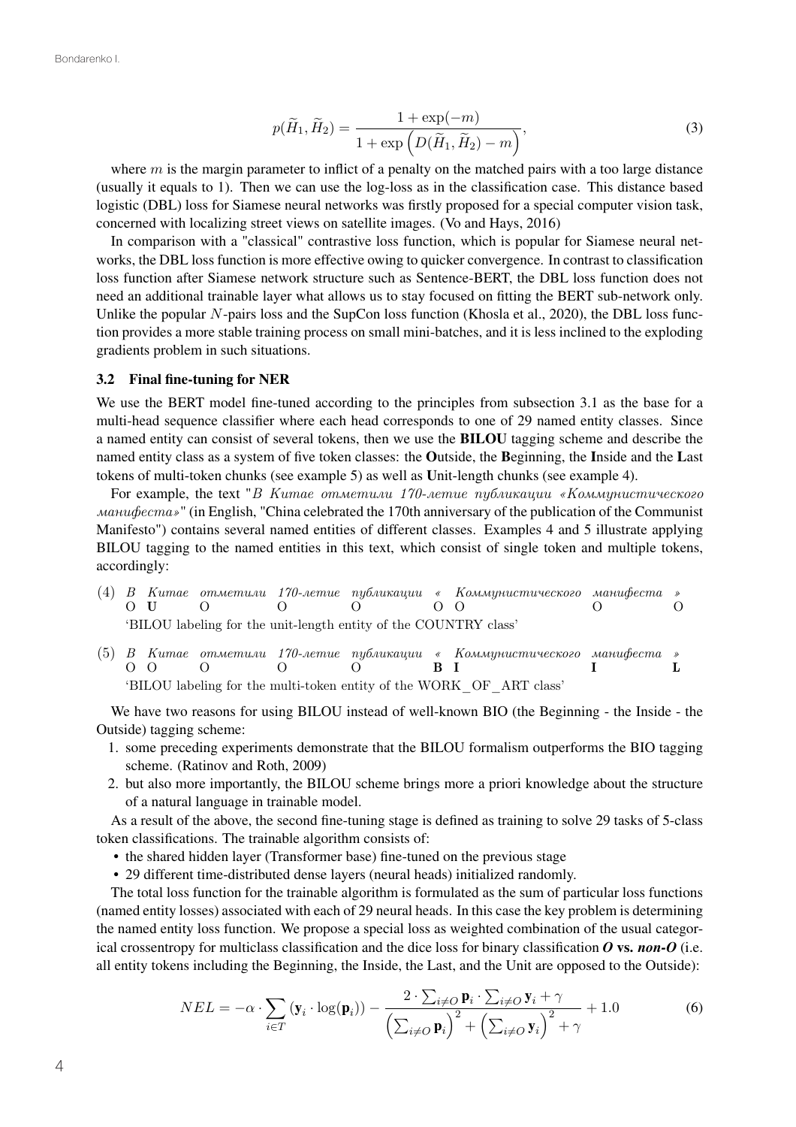$$
p(\widetilde{H}_1, \widetilde{H}_2) = \frac{1 + \exp(-m)}{1 + \exp(D(\widetilde{H}_1, \widetilde{H}_2) - m)},
$$
\n(3)

where  $m$  is the margin parameter to inflict of a penalty on the matched pairs with a too large distance (usually it equals to 1). Then we can use the log-loss as in the classification case. This distance based logistic (DBL) loss for Siamese neural networks was firstly proposed for a special computer vision task, concerned with localizing street views on satellite images. (Vo and Hays, 2016)

In comparison with a "classical" contrastive loss function, which is popular for Siamese neural networks, the DBL loss function is more effective owing to quicker convergence. In contrast to classification loss function after Siamese network structure such as Sentence-BERT, the DBL loss function does not need an additional trainable layer what allows us to stay focused on fitting the BERT sub-network only. Unlike the popular  $N$ -pairs loss and the SupCon loss function (Khosla et al., 2020), the DBL loss function provides a more stable training process on small mini-batches, and it is less inclined to the exploding gradients problem in such situations.

#### 3.2 Final fine-tuning for NER

We use the BERT model fine-tuned according to the principles from subsection 3.1 as the base for a multi-head sequence classifier where each head corresponds to one of 29 named entity classes. Since a named entity can consist of several tokens, then we use the BILOU tagging scheme and describe the named entity class as a system of five token classes: the Outside, the Beginning, the Inside and the Last tokens of multi-token chunks (see example 5) as well as Unit-length chunks (see example 4).

For example, the text "*В Китае отметили 170-летие публикации «Коммунистического манифеста»*" (in English, "China celebrated the 170th anniversary of the publication of the Communist Manifesto") contains several named entities of different classes. Examples 4 and 5 illustrate applying BILOU tagging to the named entities in this text, which consist of single token and multiple tokens, accordingly:

- (4) *В Китае отметили 170-летие публикации « Коммунистического манифеста* O U O O O O O O *»*  $\Omega$ 'BILOU labeling for the unit-length entity of the COUNTRY class'
- (5) *В Китае отметили 170-летие публикации « Коммунистического манифеста* O O O O O B I I *»* L 'BILOU labeling for the multi-token entity of the WORK\_OF\_ART class'

We have two reasons for using BILOU instead of well-known BIO (the Beginning - the Inside - the Outside) tagging scheme:

- 1. some preceding experiments demonstrate that the BILOU formalism outperforms the BIO tagging scheme. (Ratinov and Roth, 2009)
- 2. but also more importantly, the BILOU scheme brings more a priori knowledge about the structure of a natural language in trainable model.

As a result of the above, the second fine-tuning stage is defined as training to solve 29 tasks of 5-class token classifications. The trainable algorithm consists of:

- the shared hidden layer (Transformer base) fine-tuned on the previous stage
- 29 different time-distributed dense layers (neural heads) initialized randomly.

The total loss function for the trainable algorithm is formulated as the sum of particular loss functions (named entity losses) associated with each of 29 neural heads. In this case the key problem is determining the named entity loss function. We propose a special loss as weighted combination of the usual categorical crossentropy for multiclass classification and the dice loss for binary classification *O* vs. *non-O* (i.e. all entity tokens including the Beginning, the Inside, the Last, and the Unit are opposed to the Outside):

$$
NEL = -\alpha \cdot \sum_{i \in T} (\mathbf{y}_i \cdot \log(\mathbf{p}_i)) - \frac{2 \cdot \sum_{i \neq O} \mathbf{p}_i \cdot \sum_{i \neq O} \mathbf{y}_i + \gamma}{\left(\sum_{i \neq O} \mathbf{p}_i\right)^2 + \left(\sum_{i \neq O} \mathbf{y}_i\right)^2 + \gamma} + 1.0
$$
 (6)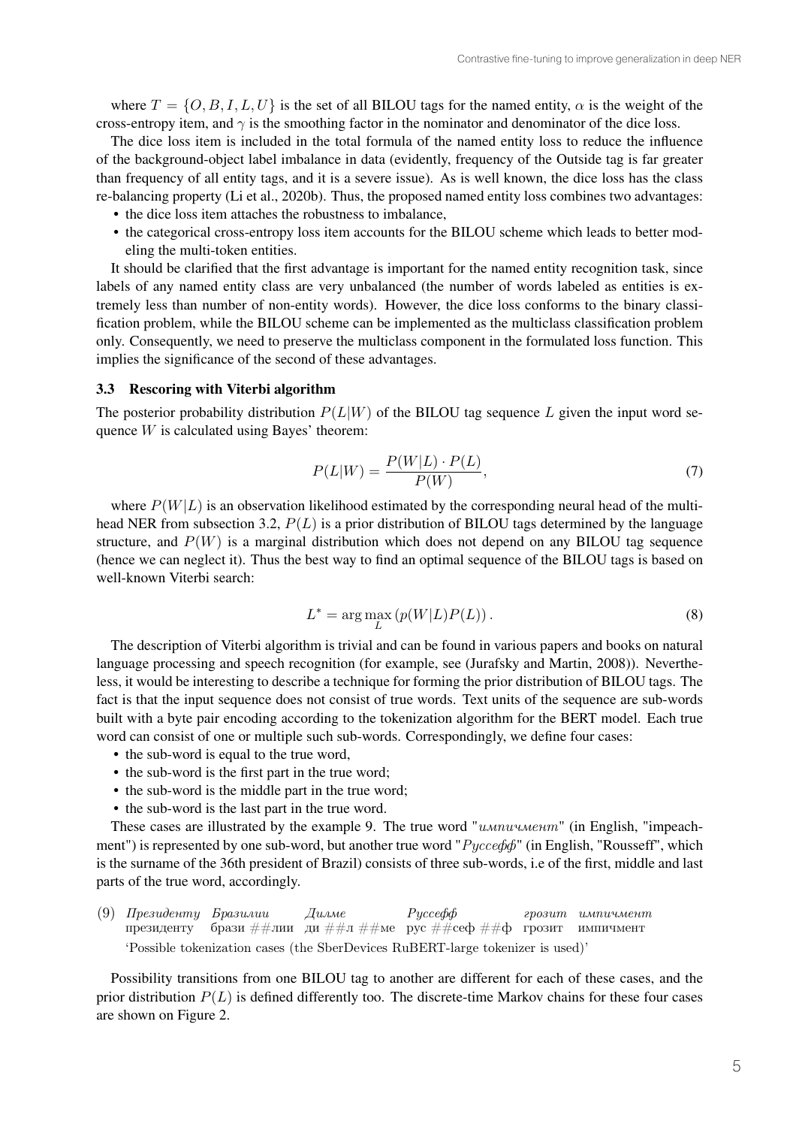where  $T = \{O, B, I, L, U\}$  is the set of all BILOU tags for the named entity,  $\alpha$  is the weight of the cross-entropy item, and  $\gamma$  is the smoothing factor in the nominator and denominator of the dice loss.

The dice loss item is included in the total formula of the named entity loss to reduce the influence of the background-object label imbalance in data (evidently, frequency of the Outside tag is far greater than frequency of all entity tags, and it is a severe issue). As is well known, the dice loss has the class re-balancing property (Li et al., 2020b). Thus, the proposed named entity loss combines two advantages:

- the dice loss item attaches the robustness to imbalance,
- the categorical cross-entropy loss item accounts for the BILOU scheme which leads to better modeling the multi-token entities.

It should be clarified that the first advantage is important for the named entity recognition task, since labels of any named entity class are very unbalanced (the number of words labeled as entities is extremely less than number of non-entity words). However, the dice loss conforms to the binary classification problem, while the BILOU scheme can be implemented as the multiclass classification problem only. Consequently, we need to preserve the multiclass component in the formulated loss function. This implies the significance of the second of these advantages.

#### 3.3 Rescoring with Viterbi algorithm

The posterior probability distribution  $P(L|W)$  of the BILOU tag sequence L given the input word sequence  $W$  is calculated using Bayes' theorem:

$$
P(L|W) = \frac{P(W|L) \cdot P(L)}{P(W)},\tag{7}
$$

where  $P(W|L)$  is an observation likelihood estimated by the corresponding neural head of the multihead NER from subsection 3.2,  $P(L)$  is a prior distribution of BILOU tags determined by the language structure, and  $P(W)$  is a marginal distribution which does not depend on any BILOU tag sequence (hence we can neglect it). Thus the best way to find an optimal sequence of the BILOU tags is based on well-known Viterbi search:

$$
L^* = \arg\max_{L} \left( p(W|L)P(L) \right). \tag{8}
$$

The description of Viterbi algorithm is trivial and can be found in various papers and books on natural language processing and speech recognition (for example, see (Jurafsky and Martin, 2008)). Nevertheless, it would be interesting to describe a technique for forming the prior distribution of BILOU tags. The fact is that the input sequence does not consist of true words. Text units of the sequence are sub-words built with a byte pair encoding according to the tokenization algorithm for the BERT model. Each true word can consist of one or multiple such sub-words. Correspondingly, we define four cases:

- the sub-word is equal to the true word,
- the sub-word is the first part in the true word;
- the sub-word is the middle part in the true word;
- the sub-word is the last part in the true word.

These cases are illustrated by the example 9. The true word "*импичмент*" (in English, "impeachment") is represented by one sub-word, but another true word "*Руссефф*" (in English, "Rousseff", which is the surname of the 36th president of Brazil) consists of three sub-words, i.e of the first, middle and last parts of the true word, accordingly.

(9) *Президенту Бразилии* президенту брази ##лииµди ##л ##меµрус ##сеф ##ф\_грозит\_импичмент *Дилме Руссефф грозит импичмент* 'Possible tokenization cases (the SberDevices RuBERT-large tokenizer is used)'

Possibility transitions from one BILOU tag to another are different for each of these cases, and the prior distribution  $P(L)$  is defined differently too. The discrete-time Markov chains for these four cases are shown on Figure 2.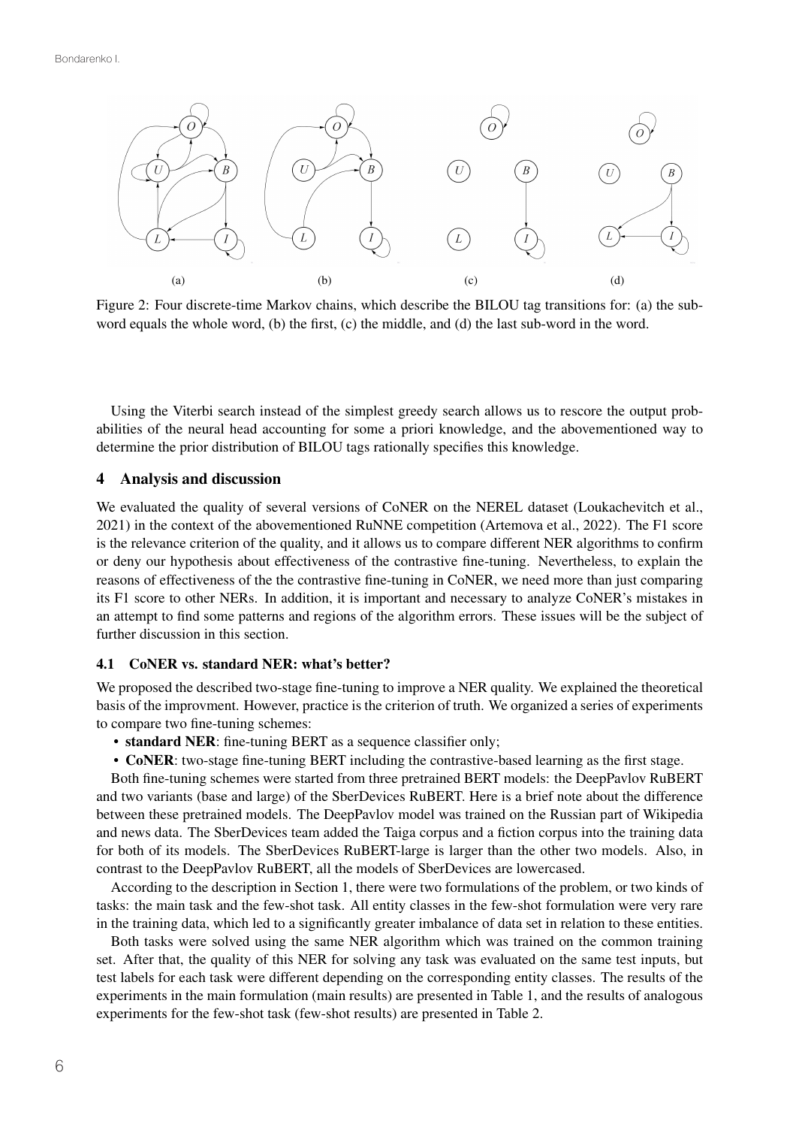

Figure 2: Four discrete-time Markov chains, which describe the BILOU tag transitions for: (a) the subword equals the whole word, (b) the first, (c) the middle, and (d) the last sub-word in the word.

Using the Viterbi search instead of the simplest greedy search allows us to rescore the output probabilities of the neural head accounting for some a priori knowledge, and the abovementioned way to determine the prior distribution of BILOU tags rationally specifies this knowledge.

## 4 Analysis and discussion

We evaluated the quality of several versions of CoNER on the NEREL dataset (Loukachevitch et al., 2021) in the context of the abovementioned RuNNE competition (Artemova et al., 2022). The F1 score is the relevance criterion of the quality, and it allows us to compare different NER algorithms to confirm or deny our hypothesis about effectiveness of the contrastive fine-tuning. Nevertheless, to explain the reasons of effectiveness of the the contrastive fine-tuning in CoNER, we need more than just comparing its F1 score to other NERs. In addition, it is important and necessary to analyze CoNER's mistakes in an attempt to find some patterns and regions of the algorithm errors. These issues will be the subject of further discussion in this section.

#### 4.1 CoNER vs. standard NER: what's better?

We proposed the described two-stage fine-tuning to improve a NER quality. We explained the theoretical basis of the improvment. However, practice is the criterion of truth. We organized a series of experiments to compare two fine-tuning schemes:

- standard NER: fine-tuning BERT as a sequence classifier only;
- CoNER: two-stage fine-tuning BERT including the contrastive-based learning as the first stage.

Both fine-tuning schemes were started from three pretrained BERT models: the DeepPavlov RuBERT and two variants (base and large) of the SberDevices RuBERT. Here is a brief note about the difference between these pretrained models. The DeepPavlov model was trained on the Russian part of Wikipedia and news data. The SberDevices team added the Taiga corpus and a fiction corpus into the training data for both of its models. The SberDevices RuBERT-large is larger than the other two models. Also, in contrast to the DeepPavlov RuBERT, all the models of SberDevices are lowercased.

According to the description in Section 1, there were two formulations of the problem, or two kinds of tasks: the main task and the few-shot task. All entity classes in the few-shot formulation were very rare in the training data, which led to a significantly greater imbalance of data set in relation to these entities.

Both tasks were solved using the same NER algorithm which was trained on the common training set. After that, the quality of this NER for solving any task was evaluated on the same test inputs, but test labels for each task were different depending on the corresponding entity classes. The results of the experiments in the main formulation (main results) are presented in Table 1, and the results of analogous experiments for the few-shot task (few-shot results) are presented in Table 2.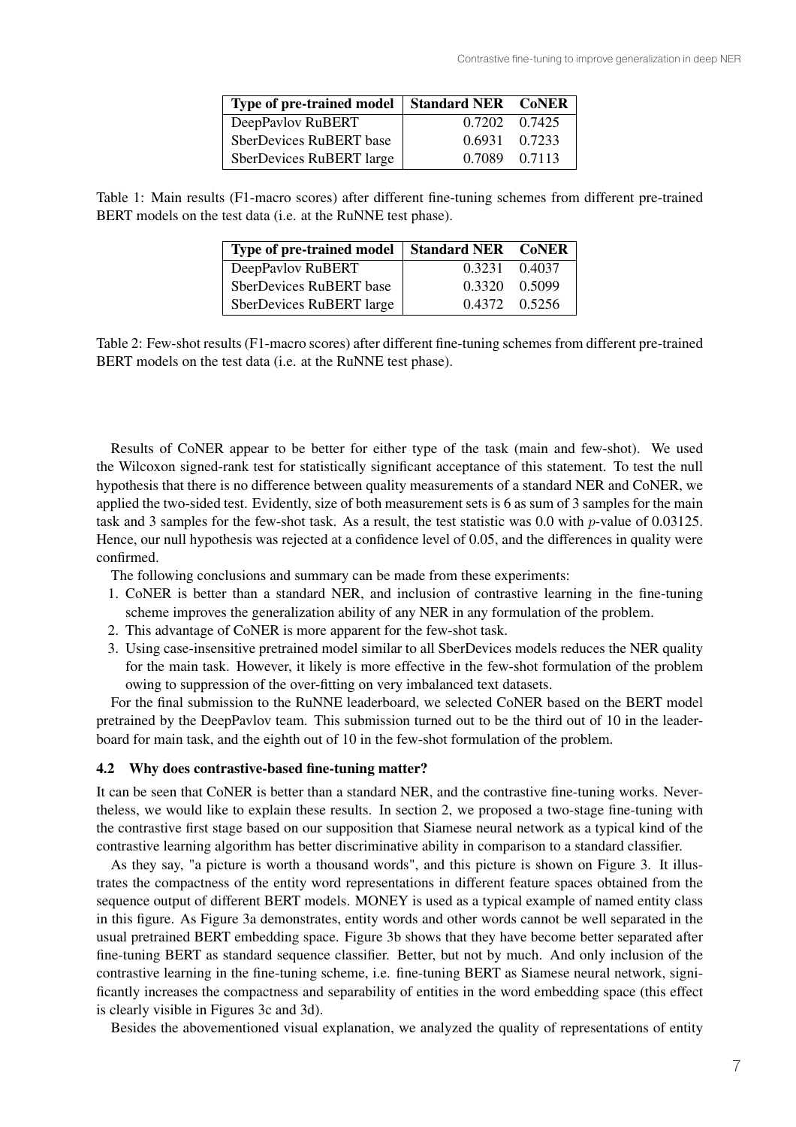| Type of pre-trained model   Standard NER CoNER |               |  |
|------------------------------------------------|---------------|--|
| DeepPavlov RuBERT                              | 0.7202 0.7425 |  |
| SberDevices RuBERT base                        | 0.6931 0.7233 |  |
| SberDevices RuBERT large                       | 0.7089 0.7113 |  |

Table 1: Main results (F1-macro scores) after different fine-tuning schemes from different pre-trained BERT models on the test data (i.e. at the RuNNE test phase).

| Type of pre-trained model | <b>Standard NER CoNER</b> |               |
|---------------------------|---------------------------|---------------|
| DeepPavlov RuBERT         |                           | 0.3231 0.4037 |
| SberDevices RuBERT base   | 0.3320 0.5099             |               |
| SberDevices RuBERT large  |                           | 0.4372 0.5256 |

Table 2: Few-shot results (F1-macro scores) after different fine-tuning schemes from different pre-trained BERT models on the test data (i.e. at the RuNNE test phase).

Results of CoNER appear to be better for either type of the task (main and few-shot). We used the Wilcoxon signed-rank test for statistically significant acceptance of this statement. To test the null hypothesis that there is no difference between quality measurements of a standard NER and CoNER, we applied the two-sided test. Evidently, size of both measurement sets is 6 as sum of 3 samples for the main task and 3 samples for the few-shot task. As a result, the test statistic was 0.0 with  $p$ -value of 0.03125. Hence, our null hypothesis was rejected at a confidence level of 0.05, and the differences in quality were confirmed.

The following conclusions and summary can be made from these experiments:

- 1. CoNER is better than a standard NER, and inclusion of contrastive learning in the fine-tuning scheme improves the generalization ability of any NER in any formulation of the problem.
- 2. This advantage of CoNER is more apparent for the few-shot task.
- 3. Using case-insensitive pretrained model similar to all SberDevices models reduces the NER quality for the main task. However, it likely is more effective in the few-shot formulation of the problem owing to suppression of the over-fitting on very imbalanced text datasets.

For the final submission to the RuNNE leaderboard, we selected CoNER based on the BERT model pretrained by the DeepPavlov team. This submission turned out to be the third out of 10 in the leaderboard for main task, and the eighth out of 10 in the few-shot formulation of the problem.

### 4.2 Why does contrastive-based fine-tuning matter?

It can be seen that CoNER is better than a standard NER, and the contrastive fine-tuning works. Nevertheless, we would like to explain these results. In section 2, we proposed a two-stage fine-tuning with the contrastive first stage based on our supposition that Siamese neural network as a typical kind of the contrastive learning algorithm has better discriminative ability in comparison to a standard classifier.

As they say, "a picture is worth a thousand words", and this picture is shown on Figure 3. It illustrates the compactness of the entity word representations in different feature spaces obtained from the sequence output of different BERT models. MONEY is used as a typical example of named entity class in this figure. As Figure 3a demonstrates, entity words and other words cannot be well separated in the usual pretrained BERT embedding space. Figure 3b shows that they have become better separated after fine-tuning BERT as standard sequence classifier. Better, but not by much. And only inclusion of the contrastive learning in the fine-tuning scheme, i.e. fine-tuning BERT as Siamese neural network, significantly increases the compactness and separability of entities in the word embedding space (this effect is clearly visible in Figures 3c and 3d).

Besides the abovementioned visual explanation, we analyzed the quality of representations of entity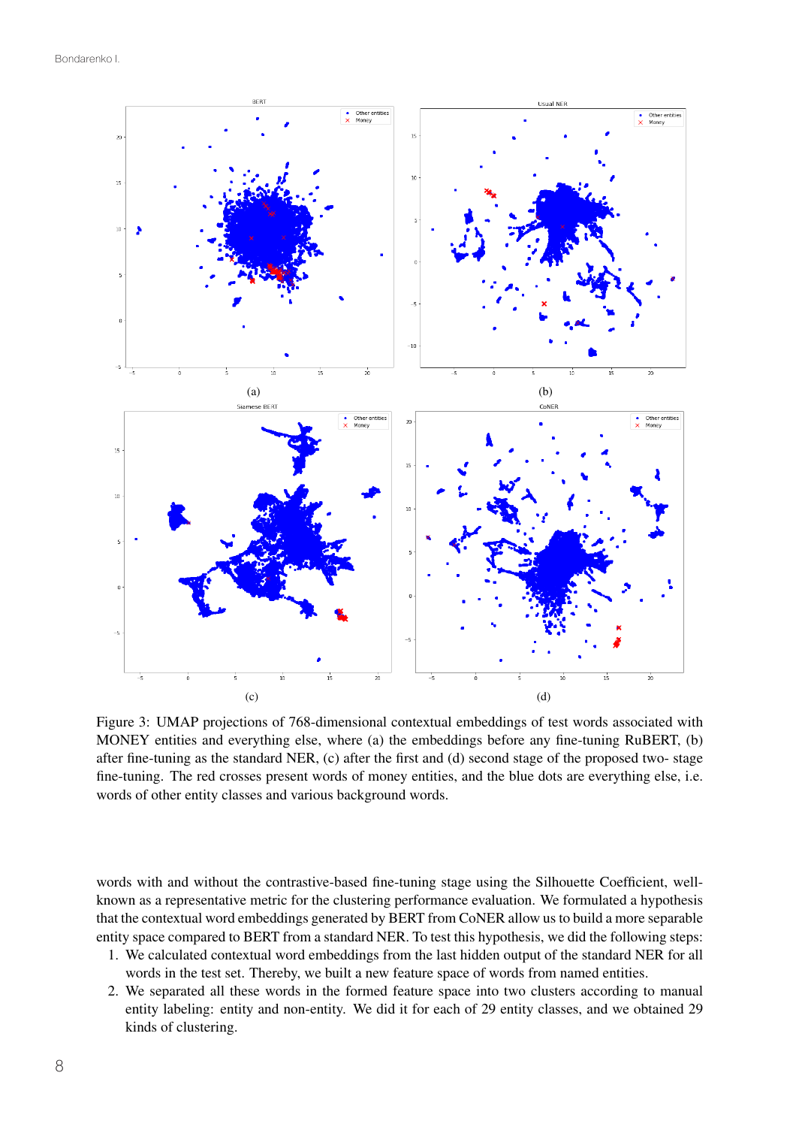Bondarenko I.



Figure 3: UMAP projections of 768-dimensional contextual embeddings of test words associated with MONEY entities and everything else, where (a) the embeddings before any fine-tuning RuBERT, (b) after fine-tuning as the standard NER, (c) after the first and (d) second stage of the proposed two- stage fine-tuning. The red crosses present words of money entities, and the blue dots are everything else, i.e. words of other entity classes and various background words.

words with and without the contrastive-based fine-tuning stage using the Silhouette Coefficient, wellknown as a representative metric for the clustering performance evaluation. We formulated a hypothesis that the contextual word embeddings generated by BERT from CoNER allow us to build a more separable entity space compared to BERT from a standard NER. To test this hypothesis, we did the following steps:

- 1. We calculated contextual word embeddings from the last hidden output of the standard NER for all words in the test set. Thereby, we built a new feature space of words from named entities.
- 2. We separated all these words in the formed feature space into two clusters according to manual entity labeling: entity and non-entity. We did it for each of 29 entity classes, and we obtained 29 kinds of clustering.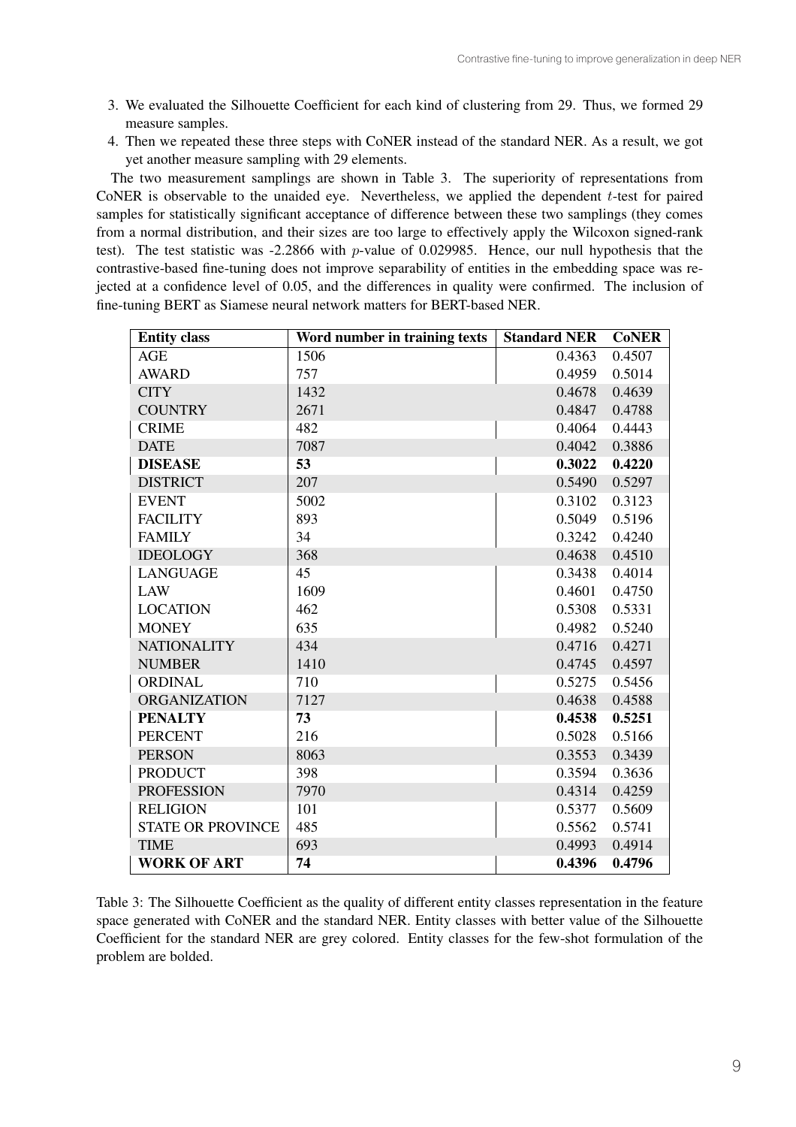- 3. We evaluated the Silhouette Coefficient for each kind of clustering from 29. Thus, we formed 29 measure samples.
- 4. Then we repeated these three steps with CoNER instead of the standard NER. As a result, we got yet another measure sampling with 29 elements.

The two measurement samplings are shown in Table 3. The superiority of representations from CoNER is observable to the unaided eye. Nevertheless, we applied the dependent  $t$ -test for paired samples for statistically significant acceptance of difference between these two samplings (they comes from a normal distribution, and their sizes are too large to effectively apply the Wilcoxon signed-rank test). The test statistic was -2.2866 with  $p$ -value of 0.029985. Hence, our null hypothesis that the contrastive-based fine-tuning does not improve separability of entities in the embedding space was rejected at a confidence level of 0.05, and the differences in quality were confirmed. The inclusion of fine-tuning BERT as Siamese neural network matters for BERT-based NER.

| <b>Entity class</b>      | Word number in training texts | <b>Standard NER</b> | <b>CoNER</b> |
|--------------------------|-------------------------------|---------------------|--------------|
| <b>AGE</b>               | 1506                          | 0.4363              | 0.4507       |
| <b>AWARD</b>             | 757                           | 0.4959              | 0.5014       |
| <b>CITY</b>              | 1432                          | 0.4678              | 0.4639       |
| <b>COUNTRY</b>           | 2671                          | 0.4847              | 0.4788       |
| <b>CRIME</b>             | 482                           | 0.4064              | 0.4443       |
| <b>DATE</b>              | 7087                          | 0.4042              | 0.3886       |
| <b>DISEASE</b>           | 53                            | 0.3022              | 0.4220       |
| <b>DISTRICT</b>          | 207                           | 0.5490              | 0.5297       |
| <b>EVENT</b>             | 5002                          | 0.3102              | 0.3123       |
| <b>FACILITY</b>          | 893                           | 0.5049              | 0.5196       |
| <b>FAMILY</b>            | 34                            | 0.3242              | 0.4240       |
| <b>IDEOLOGY</b>          | 368                           | 0.4638              | 0.4510       |
| <b>LANGUAGE</b>          | 45                            | 0.3438              | 0.4014       |
| <b>LAW</b>               | 1609                          | 0.4601              | 0.4750       |
| <b>LOCATION</b>          | 462                           | 0.5308              | 0.5331       |
| <b>MONEY</b>             | 635                           | 0.4982              | 0.5240       |
| <b>NATIONALITY</b>       | 434                           | 0.4716              | 0.4271       |
| <b>NUMBER</b>            | 1410                          | 0.4745              | 0.4597       |
| <b>ORDINAL</b>           | 710                           | 0.5275              | 0.5456       |
| <b>ORGANIZATION</b>      | 7127                          | 0.4638              | 0.4588       |
| <b>PENALTY</b>           | 73                            | 0.4538              | 0.5251       |
| <b>PERCENT</b>           | 216                           | 0.5028              | 0.5166       |
| <b>PERSON</b>            | 8063                          | 0.3553              | 0.3439       |
| <b>PRODUCT</b>           | 398                           | 0.3594              | 0.3636       |
| <b>PROFESSION</b>        | 7970                          | 0.4314              | 0.4259       |
| <b>RELIGION</b>          | 101                           | 0.5377              | 0.5609       |
| <b>STATE OR PROVINCE</b> | 485                           | 0.5562              | 0.5741       |
| <b>TIME</b>              | 693                           | 0.4993              | 0.4914       |
| <b>WORK OF ART</b>       | 74                            | 0.4396              | 0.4796       |

Table 3: The Silhouette Coefficient as the quality of different entity classes representation in the feature space generated with CoNER and the standard NER. Entity classes with better value of the Silhouette Coefficient for the standard NER are grey colored. Entity classes for the few-shot formulation of the problem are bolded.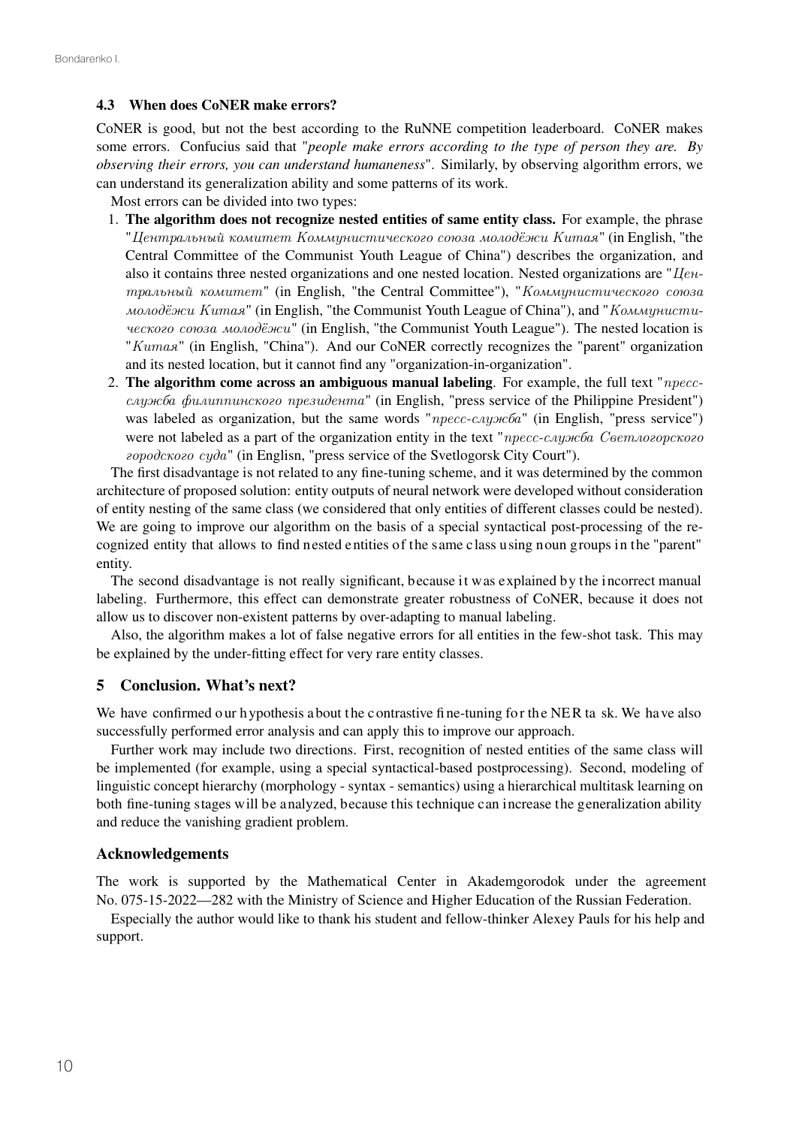### 4.3 When does CoNER make errors?

CoNER is good, but not the best according to the RuNNE competition leaderboard. CoNER makes some errors. Confucius said that "*people make errors according to the type of person they are. By observing their errors, you can understand humaneness*". Similarly, by observing algorithm errors, we can understand its generalization ability and some patterns of its work.

Most errors can be divided into two types:

- 1. The algorithm does not recognize nested entities of same entity class. For example, the phrase "*Центральный комитет Коммунистического союза молодёжи Китая*" (in English, "the Central Committee of the Communist Youth League of China") describes the organization, and also it contains three nested organizations and one nested location. Nested organizations are "*Центральный комитет*" (in English, "the Central Committee"), "*Коммунистического союза молодёжи Китая*" (in English, "the Communist Youth League of China"), and "*Коммунистического союза молодёжи*" (in English, "the Communist Youth League"). The nested location is "*Китая*" (in English, "China"). And our CoNER correctly recognizes the "parent" organization and its nested location, but it cannot find any "organization-in-organization".
- 2. The algorithm come across an ambiguous manual labeling. For example, the full text "*прессслужба филиппинского президента*" (in English, "press service of the Philippine President") was labeled as organization, but the same words "*пресс-служба*" (in English, "press service") were not labeled as a part of the organization entity in the text "*пресс-служба Светлогорского городского суда*" (in Englisn, "press service of the Svetlogorsk City Court").

The first disadvantage is not related to any fine-tuning scheme, and it was determined by the common architecture of proposed solution: entity outputs of neural network were developed without consideration of entity nesting of the same class (we considered that only entities of different classes could be nested). We are going to improve our algorithm on the basis of a special syntactical post-processing of the recognized entity that allows to find nested entities of the same class using noun groups in the "parent" entity.

The second disadvantage is not really significant, because it was explained by the incorrect manual labeling. Furthermore, this effect can demonstrate greater robustness of CoNER, because it does not allow us to discover non-existent patterns by over-adapting to manual labeling.

Also, the algorithm makes a lot of false negative errors for all entities in the few-shot task. This may be explained by the under-fitting effect for very rare entity classes.

## 5 Conclusion. What's next?

We have confirmed our hypothesis a bout the contrastive fine-tuning for the NER ta sk. We have also successfully performed error analysis and can apply this to improve our approach.

Further work may include two directions. First, recognition of nested entities of the same class will be implemented (for example, using a special syntactical-based postprocessing). Second, modeling of linguistic concept hierarchy (morphology - syntax - semantics) using a hierarchical multitask learning on both fine-tuning stages will be analyzed, because this technique can increase the generalization ability and reduce the vanishing gradient problem.

## Acknowledgements

The work is supported by the Mathematical Center in Akademgorodok under the agreement No. 075-15-2022—282 with the Ministry of Science and Higher Education of the Russian Federation.

Especially the author would like to thank his student and fellow-thinker Alexey Pauls for his help and support.